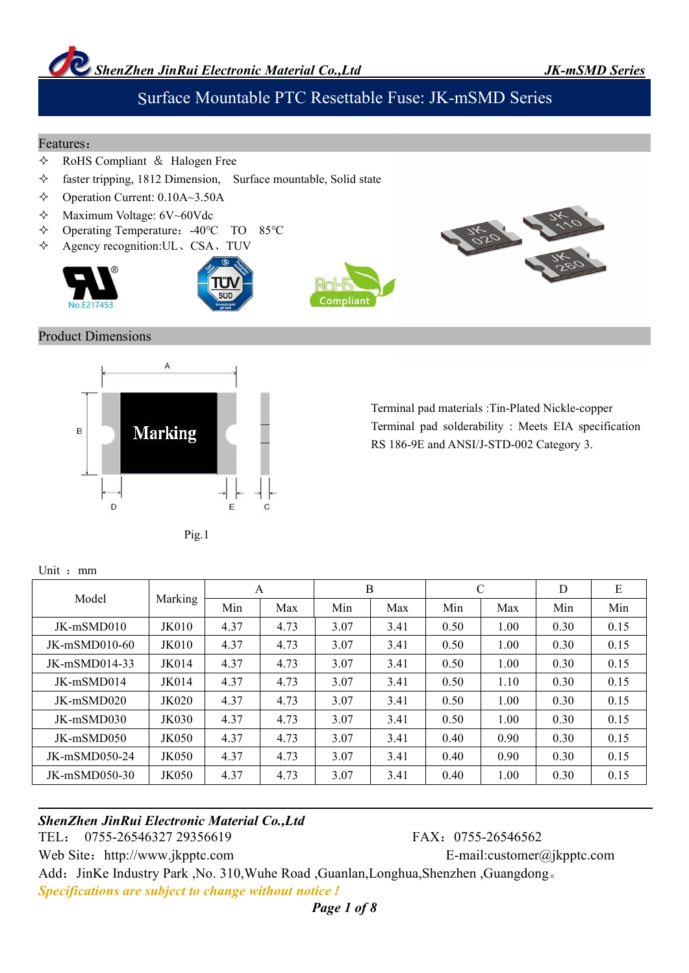# Surface Mountable PTC Resettable Fuse: JK-mSMD Series

#### Features:

- RoHS Compliant & Halogen Free
- $\Diamond$  faster tripping, 1812 Dimension, Surface mountable, Solid state
- $\div$  Operation Current: 0.10A~3.50A
- Maximum Voltage: 6V~60Vdc
- Operating Temperature:-40℃ TO 85℃
- Agency recognition:UL、CSA、TUV









#### Product Dimensions



Terminal pad materials :Tin-Plated Nickle-copper Terminal pad solderability : Meets EIA specification RS 186-9E and ANSI/J-STD-002 Category 3.

| Unit: mm |  |  |
|----------|--|--|

| Model           | Marking      | A    |      |      | $\, {\bf B}$ |      | С    | D    | E    |  |
|-----------------|--------------|------|------|------|--------------|------|------|------|------|--|
|                 |              | Min  | Max  | Min  | Max          | Min  | Max  | Min  | Min  |  |
| JK-mSMD010      | <b>JK010</b> | 4.37 | 4.73 | 3.07 | 3.41         | 0.50 | 1.00 | 0.30 | 0.15 |  |
| $JK-mSMD010-60$ | <b>JK010</b> | 4.37 | 4.73 | 3.07 | 3.41         | 0.50 | 1.00 | 0.30 | 0.15 |  |
| JK-mSMD014-33   | JK014        | 4.37 | 4.73 | 3.07 | 3.41         | 0.50 | 1.00 | 0.30 | 0.15 |  |
| JK-mSMD014      | JK014        | 4.37 | 4.73 | 3.07 | 3.41         | 0.50 | 1.10 | 0.30 | 0.15 |  |
| $JK-mSMD020$    | JK020        | 4.37 | 4.73 | 3.07 | 3.41         | 0.50 | 1.00 | 0.30 | 0.15 |  |
| $JK-mSMD030$    | <b>JK030</b> | 4.37 | 4.73 | 3.07 | 3.41         | 0.50 | 1.00 | 0.30 | 0.15 |  |
| JK-mSMD050      | <b>JK050</b> | 4.37 | 4.73 | 3.07 | 3.41         | 0.40 | 0.90 | 0.30 | 0.15 |  |
| JK-mSMD050-24   | JK050        | 4.37 | 4.73 | 3.07 | 3.41         | 0.40 | 0.90 | 0.30 | 0.15 |  |
| JK-mSMD050-30   | JK050        | 4.37 | 4.73 | 3.07 | 3.41         | 0.40 | 1.00 | 0.30 | 0.15 |  |

### *ShenZhen JinRui Electronic Material Co.,Ltd*

TEL: 0755-26546327 29356619 FAX: 0755-26546562

Web Site: http://www.jkpptc.com E-mail:customer@jkpptc.com

Add: JinKe Industry Park ,No. 310,Wuhe Road ,Guanlan,Longhua,Shenzhen ,Guangdong. *Specifications are subject to change without notice!*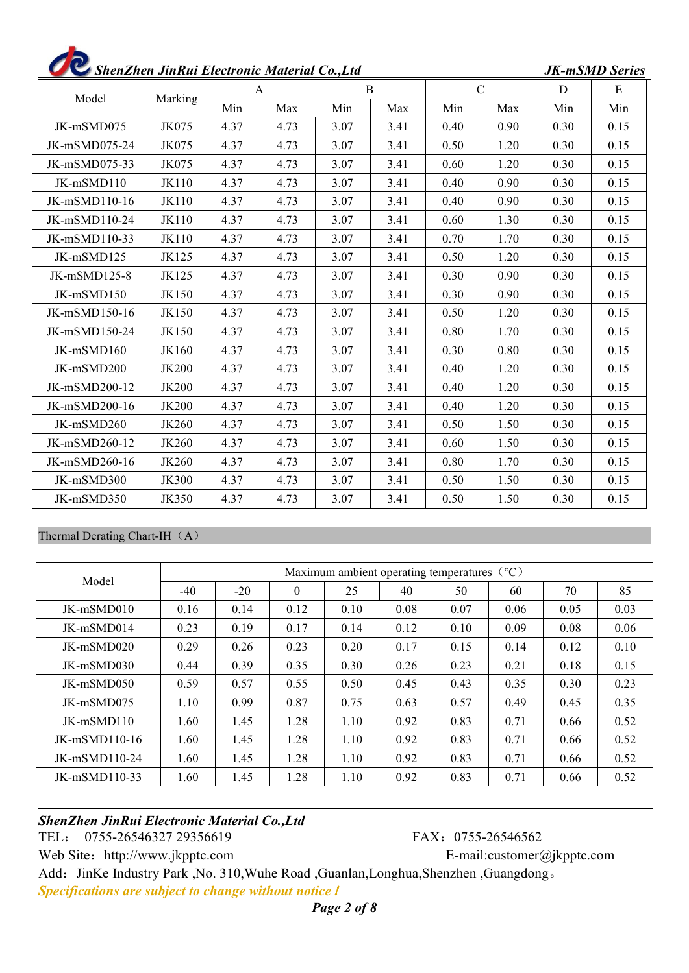| ShenZhen JinRui Electronic Material Co., Ltd |              |      |      |      |              |      | <b>JK-mSMD Series</b> |      |      |  |
|----------------------------------------------|--------------|------|------|------|--------------|------|-----------------------|------|------|--|
|                                              |              |      | A    |      | $\mathbf{B}$ |      | $\mathsf{C}$          | D    | E    |  |
| Model                                        | Marking      | Min  | Max  | Min  | Max          | Min  | Max                   | Min  | Min  |  |
| JK-mSMD075                                   | JK075        | 4.37 | 4.73 | 3.07 | 3.41         | 0.40 | 0.90                  | 0.30 | 0.15 |  |
| JK-mSMD075-24                                | JK075        | 4.37 | 4.73 | 3.07 | 3.41         | 0.50 | 1.20                  | 0.30 | 0.15 |  |
| JK-mSMD075-33                                | JK075        | 4.37 | 4.73 | 3.07 | 3.41         | 0.60 | 1.20                  | 0.30 | 0.15 |  |
| JK-mSMD110                                   | <b>JK110</b> | 4.37 | 4.73 | 3.07 | 3.41         | 0.40 | 0.90                  | 0.30 | 0.15 |  |
| JK-mSMD110-16                                | <b>JK110</b> | 4.37 | 4.73 | 3.07 | 3.41         | 0.40 | 0.90                  | 0.30 | 0.15 |  |
| JK-mSMD110-24                                | <b>JK110</b> | 4.37 | 4.73 | 3.07 | 3.41         | 0.60 | 1.30                  | 0.30 | 0.15 |  |
| JK-mSMD110-33                                | JK110        | 4.37 | 4.73 | 3.07 | 3.41         | 0.70 | 1.70                  | 0.30 | 0.15 |  |
| JK-mSMD125                                   | JK125        | 4.37 | 4.73 | 3.07 | 3.41         | 0.50 | 1.20                  | 0.30 | 0.15 |  |
| JK-mSMD125-8                                 | JK125        | 4.37 | 4.73 | 3.07 | 3.41         | 0.30 | 0.90                  | 0.30 | 0.15 |  |
| JK-mSMD150                                   | JK150        | 4.37 | 4.73 | 3.07 | 3.41         | 0.30 | 0.90                  | 0.30 | 0.15 |  |
| JK-mSMD150-16                                | JK150        | 4.37 | 4.73 | 3.07 | 3.41         | 0.50 | 1.20                  | 0.30 | 0.15 |  |
| JK-mSMD150-24                                | JK150        | 4.37 | 4.73 | 3.07 | 3.41         | 0.80 | 1.70                  | 0.30 | 0.15 |  |
| JK-mSMD160                                   | JK160        | 4.37 | 4.73 | 3.07 | 3.41         | 0.30 | 0.80                  | 0.30 | 0.15 |  |
| JK-mSMD200                                   | <b>JK200</b> | 4.37 | 4.73 | 3.07 | 3.41         | 0.40 | 1.20                  | 0.30 | 0.15 |  |
| JK-mSMD200-12                                | <b>JK200</b> | 4.37 | 4.73 | 3.07 | 3.41         | 0.40 | 1.20                  | 0.30 | 0.15 |  |
| JK-mSMD200-16                                | <b>JK200</b> | 4.37 | 4.73 | 3.07 | 3.41         | 0.40 | 1.20                  | 0.30 | 0.15 |  |
| JK-mSMD260                                   | JK260        | 4.37 | 4.73 | 3.07 | 3.41         | 0.50 | 1.50                  | 0.30 | 0.15 |  |
| JK-mSMD260-12                                | JK260        | 4.37 | 4.73 | 3.07 | 3.41         | 0.60 | 1.50                  | 0.30 | 0.15 |  |
| JK-mSMD260-16                                | JK260        | 4.37 | 4.73 | 3.07 | 3.41         | 0.80 | 1.70                  | 0.30 | 0.15 |  |
| JK-mSMD300                                   | JK300        | 4.37 | 4.73 | 3.07 | 3.41         | 0.50 | 1.50                  | 0.30 | 0.15 |  |
| JK-mSMD350                                   | JK350        | 4.37 | 4.73 | 3.07 | 3.41         | 0.50 | 1.50                  | 0.30 | 0.15 |  |

# **START**

### Thermal Derating Chart-IH (A)

| Model         |       | Maximum ambient operating temperatures (°C) |          |      |      |      |      |      |      |  |  |
|---------------|-------|---------------------------------------------|----------|------|------|------|------|------|------|--|--|
|               | $-40$ | $-20$                                       | $\theta$ | 25   | 40   | 50   | 60   | 70   | 85   |  |  |
| $JK-mSMD010$  | 0.16  | 0.14                                        | 0.12     | 0.10 | 0.08 | 0.07 | 0.06 | 0.05 | 0.03 |  |  |
| JK-mSMD014    | 0.23  | 0.19                                        | 0.17     | 0.14 | 0.12 | 0.10 | 0.09 | 0.08 | 0.06 |  |  |
| $JK-mSMD020$  | 0.29  | 0.26                                        | 0.23     | 0.20 | 0.17 | 0.15 | 0.14 | 0.12 | 0.10 |  |  |
| $JK-mSMD030$  | 0.44  | 0.39                                        | 0.35     | 0.30 | 0.26 | 0.23 | 0.21 | 0.18 | 0.15 |  |  |
| $JK-mSMD050$  | 0.59  | 0.57                                        | 0.55     | 0.50 | 0.45 | 0.43 | 0.35 | 0.30 | 0.23 |  |  |
| JK-mSMD075    | 1.10  | 0.99                                        | 0.87     | 0.75 | 0.63 | 0.57 | 0.49 | 0.45 | 0.35 |  |  |
| $JK-mSMD110$  | 1.60  | 1.45                                        | 1.28     | 1.10 | 0.92 | 0.83 | 0.71 | 0.66 | 0.52 |  |  |
| JK-mSMD110-16 | 1.60  | 1.45                                        | 1.28     | 1.10 | 0.92 | 0.83 | 0.71 | 0.66 | 0.52 |  |  |
| JK-mSMD110-24 | 1.60  | 1.45                                        | 1.28     | 1.10 | 0.92 | 0.83 | 0.71 | 0.66 | 0.52 |  |  |
| JK-mSMD110-33 | 1.60  | 1.45                                        | 1.28     | 1.10 | 0.92 | 0.83 | 0.71 | 0.66 | 0.52 |  |  |

### *ShenZhen JinRui Electronic Material Co.,Ltd*

TEL: 0755-26546327 29356619 FAX: 0755-26546562

Web Site: http://www.jkpptc.com E-mail:customer@jkpptc.com

Add: JinKe Industry Park ,No. 310,Wuhe Road ,Guanlan,Longhua,Shenzhen ,Guangdong 。 *Specifications are subject to change without notice!*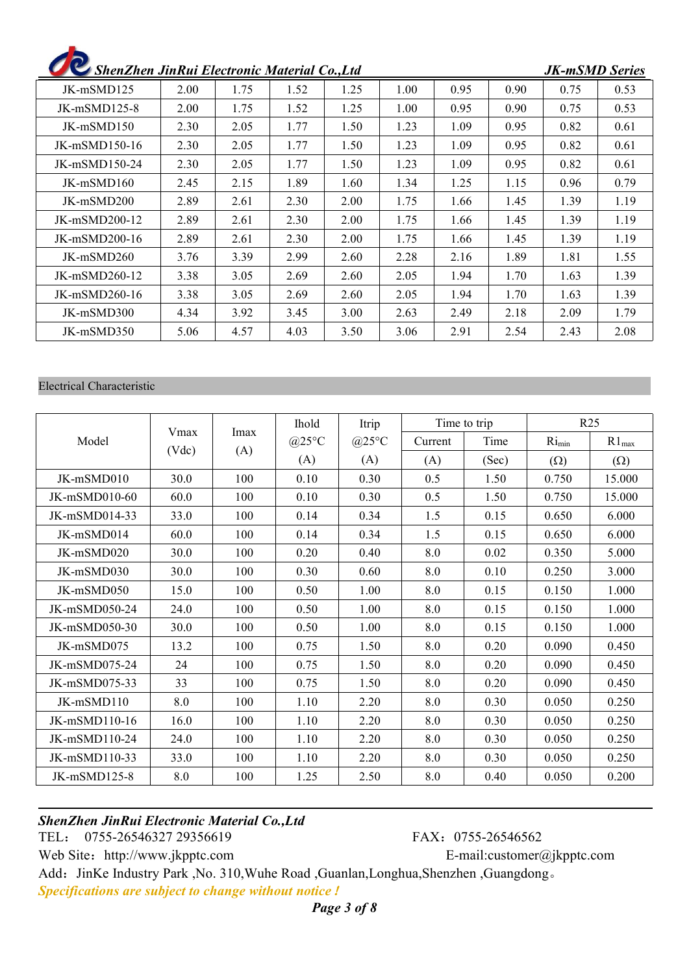| JK-mSMD125      | 2.00 | 1.75 | 1.52 | 1.25 | 1.00 | 0.95 | 0.90 | 0.75 | 0.53 |
|-----------------|------|------|------|------|------|------|------|------|------|
| $JK-mSMD125-8$  | 2.00 | 1.75 | 1.52 | 1.25 | 1.00 | 0.95 | 0.90 | 0.75 | 0.53 |
| $JK-mSMD150$    | 2.30 | 2.05 | 1.77 | 1.50 | 1.23 | 1.09 | 0.95 | 0.82 | 0.61 |
| $JK-mSMD150-16$ | 2.30 | 2.05 | 1.77 | 1.50 | 1.23 | 1.09 | 0.95 | 0.82 | 0.61 |
| JK-mSMD150-24   | 2.30 | 2.05 | 1.77 | 1.50 | 1.23 | 1.09 | 0.95 | 0.82 | 0.61 |
| $JK-mSMD160$    | 2.45 | 2.15 | 1.89 | 1.60 | 1.34 | 1.25 | 1.15 | 0.96 | 0.79 |
| JK-mSMD200      | 2.89 | 2.61 | 2.30 | 2.00 | 1.75 | 1.66 | 1.45 | 1.39 | 1.19 |
| $JK-mSMD200-12$ | 2.89 | 2.61 | 2.30 | 2.00 | 1.75 | 1.66 | 1.45 | 1.39 | 1.19 |
| $JK-mSMD200-16$ | 2.89 | 2.61 | 2.30 | 2.00 | 1.75 | 1.66 | 1.45 | 1.39 | 1.19 |
| $JK-mSMD260$    | 3.76 | 3.39 | 2.99 | 2.60 | 2.28 | 2.16 | 1.89 | 1.81 | 1.55 |
| $JK-mSMD260-12$ | 3.38 | 3.05 | 2.69 | 2.60 | 2.05 | 1.94 | 1.70 | 1.63 | 1.39 |
| $JK-mSMD260-16$ | 3.38 | 3.05 | 2.69 | 2.60 | 2.05 | 1.94 | 1.70 | 1.63 | 1.39 |
| JK-mSMD300      | 4.34 | 3.92 | 3.45 | 3.00 | 2.63 | 2.49 | 2.18 | 2.09 | 1.79 |
| JK-mSMD350      | 5.06 | 4.57 | 4.03 | 3.50 | 3.06 | 2.91 | 2.54 | 2.43 | 2.08 |

#### Electrical Characteristic

|               |       |      | Ihold | Itrip |         | Time to trip |            | R <sub>25</sub> |
|---------------|-------|------|-------|-------|---------|--------------|------------|-----------------|
| Model         | Vmax  | Imax | @25°C | @25°C | Current | Time         | $Ri_{min}$ | $R1_{max}$      |
|               | (Vdc) | (A)  | (A)   | (A)   | (A)     | (Sec)        | $(\Omega)$ | $(\Omega)$      |
| JK-mSMD010    | 30.0  | 100  | 0.10  | 0.30  | 0.5     | 1.50         | 0.750      | 15.000          |
| JK-mSMD010-60 | 60.0  | 100  | 0.10  | 0.30  | 0.5     | 1.50         | 0.750      | 15.000          |
| JK-mSMD014-33 | 33.0  | 100  | 0.14  | 0.34  | 1.5     | 0.15         | 0.650      | 6.000           |
| JK-mSMD014    | 60.0  | 100  | 0.14  | 0.34  | 1.5     | 0.15         | 0.650      | 6.000           |
| JK-mSMD020    | 30.0  | 100  | 0.20  | 0.40  | 8.0     | 0.02         | 0.350      | 5.000           |
| JK-mSMD030    | 30.0  | 100  | 0.30  | 0.60  | 8.0     | 0.10         | 0.250      | 3.000           |
| JK-mSMD050    | 15.0  | 100  | 0.50  | 1.00  | 8.0     | 0.15         | 0.150      | 1.000           |
| JK-mSMD050-24 | 24.0  | 100  | 0.50  | 1.00  | 8.0     | 0.15         | 0.150      | 1.000           |
| JK-mSMD050-30 | 30.0  | 100  | 0.50  | 1.00  | 8.0     | 0.15         | 0.150      | 1.000           |
| JK-mSMD075    | 13.2  | 100  | 0.75  | 1.50  | 8.0     | 0.20         | 0.090      | 0.450           |
| JK-mSMD075-24 | 24    | 100  | 0.75  | 1.50  | 8.0     | 0.20         | 0.090      | 0.450           |
| JK-mSMD075-33 | 33    | 100  | 0.75  | 1.50  | 8.0     | 0.20         | 0.090      | 0.450           |
| JK-mSMD110    | 8.0   | 100  | 1.10  | 2.20  | 8.0     | 0.30         | 0.050      | 0.250           |
| JK-mSMD110-16 | 16.0  | 100  | 1.10  | 2.20  | 8.0     | 0.30         | 0.050      | 0.250           |
| JK-mSMD110-24 | 24.0  | 100  | 1.10  | 2.20  | 8.0     | 0.30         | 0.050      | 0.250           |
| JK-mSMD110-33 | 33.0  | 100  | 1.10  | 2.20  | 8.0     | 0.30         | 0.050      | 0.250           |
| JK-mSMD125-8  | 8.0   | 100  | 1.25  | 2.50  | 8.0     | 0.40         | 0.050      | 0.200           |

### *ShenZhen JinRui Electronic Material Co.,Ltd*

TEL: 0755-26546327 29356619 FAX: 0755-26546562

Web Site: http://www.jkpptc.com E-mail:customer@jkpptc.com

Add: JinKe Industry Park ,No. 310,Wuhe Road ,Guanlan,Longhua,Shenzhen ,Guangdong。 *Specifications are subject to change without notice!*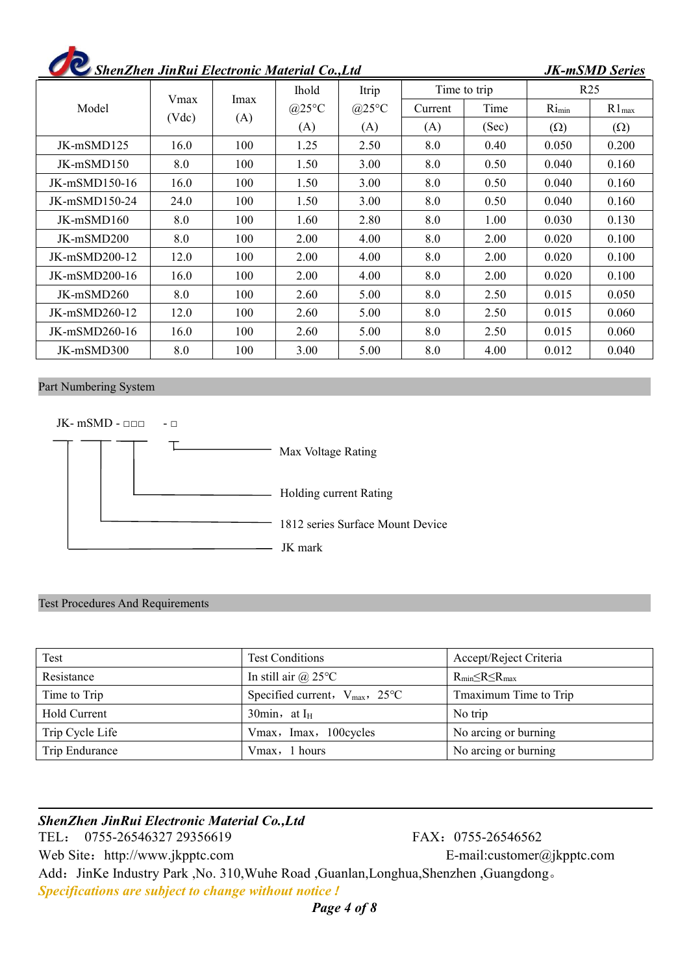| $\triangleright$ ShenZhen JinRui Electronic Material Co., Ltd |  |
|---------------------------------------------------------------|--|
|---------------------------------------------------------------|--|

|               |       |      | Ihold              | Itrip              |         | Time to trip |            | R <sub>25</sub>   |
|---------------|-------|------|--------------------|--------------------|---------|--------------|------------|-------------------|
| Model         | Vmax  | Imax | $@25\textdegree C$ | $@25\textdegree C$ | Current | Time         | $Ri_{min}$ | $R1_{\text{max}}$ |
|               | (Vdc) | (A)  | (A)                | (A)                | (A)     | (Sec)        | $(\Omega)$ | $(\Omega)$        |
| JK-mSMD125    | 16.0  | 100  | 1.25               | 2.50               | 8.0     | 0.40         | 0.050      | 0.200             |
| JK-mSMD150    | 8.0   | 100  | 1.50               | 3.00               | 8.0     | 0.50         | 0.040      | 0.160             |
| JK-mSMD150-16 | 16.0  | 100  | 1.50               | 3.00               | 8.0     | 0.50         | 0.040      | 0.160             |
| JK-mSMD150-24 | 24.0  | 100  | 1.50               | 3.00               | 8.0     | 0.50         | 0.040      | 0.160             |
| JK-mSMD160    | 8.0   | 100  | 1.60               | 2.80               | 8.0     | 1.00         | 0.030      | 0.130             |
| JK-mSMD200    | 8.0   | 100  | 2.00               | 4.00               | 8.0     | 2.00         | 0.020      | 0.100             |
| JK-mSMD200-12 | 12.0  | 100  | 2.00               | 4.00               | 8.0     | 2.00         | 0.020      | 0.100             |
| JK-mSMD200-16 | 16.0  | 100  | 2.00               | 4.00               | 8.0     | 2.00         | 0.020      | 0.100             |
| JK-mSMD260    | 8.0   | 100  | 2.60               | 5.00               | 8.0     | 2.50         | 0.015      | 0.050             |
| JK-mSMD260-12 | 12.0  | 100  | 2.60               | 5.00               | 8.0     | 2.50         | 0.015      | 0.060             |
| JK-mSMD260-16 | 16.0  | 100  | 2.60               | 5.00               | 8.0     | 2.50         | 0.015      | 0.060             |
| JK-mSMD300    | 8.0   | 100  | 3.00               | 5.00               | 8.0     | 4.00         | 0.012      | 0.040             |

#### Part Numbering System

 $JK-$  mSMD -  $\Box$  $\Box$  -  $\Box$ 



### Test Procedures And Requirements

| Test            | <b>Test Conditions</b>                      | Accept/Reject Criteria        |
|-----------------|---------------------------------------------|-------------------------------|
| Resistance      | In still air $\omega$ 25°C                  | $R_{min} \leq R \leq R_{max}$ |
| Time to Trip    | Specified current, $V_{\text{max}}$ , 25 °C | Tmaximum Time to Trip         |
| Hold Current    | 30 $min$ , at I <sub>H</sub>                | No trip                       |
| Trip Cycle Life | Vmax, Imax, 100 cycles                      | No arcing or burning          |
| Trip Endurance  | Vmax, 1 hours                               | No arcing or burning          |

*ShenZhen JinRui Electronic Material Co.,Ltd* TEL: 0755-26546327 29356619 FAX: 0755-26546562 Web Site: http://www.jkpptc.com E-mail:customer@jkpptc.com Add: JinKe Industry Park ,No. 310,Wuhe Road ,Guanlan,Longhua,Shenzhen ,Guangdong。 *Specifications are subject to change without notice!*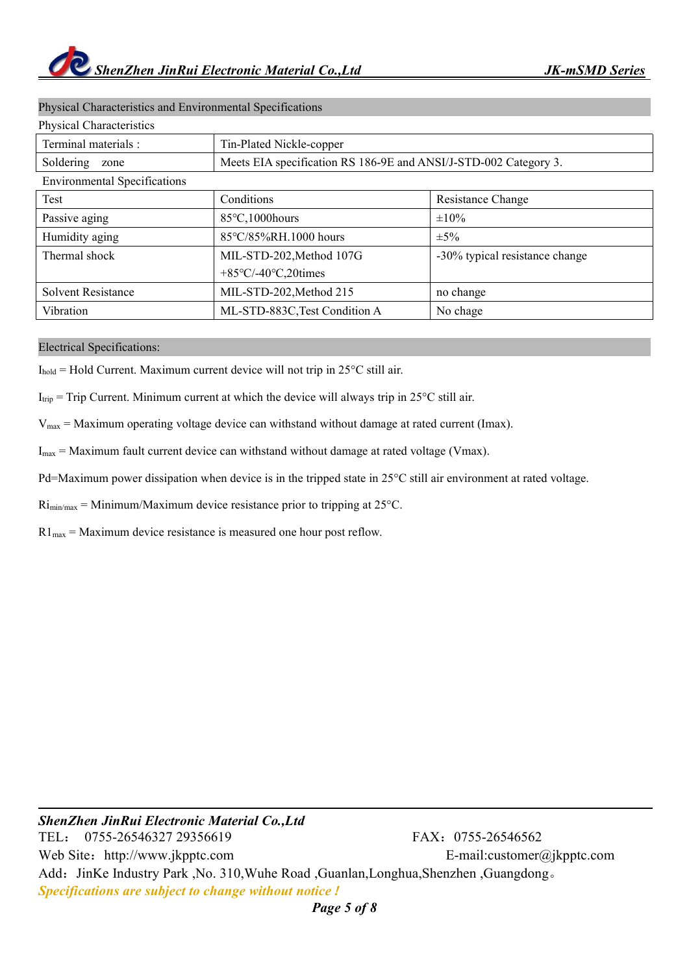| Physical Characteristics            |                                                                  |                                |
|-------------------------------------|------------------------------------------------------------------|--------------------------------|
| Terminal materials :                | Tin-Plated Nickle-copper                                         |                                |
| Soldering<br>zone                   | Meets EIA specification RS 186-9E and ANSI/J-STD-002 Category 3. |                                |
| <b>Environmental Specifications</b> |                                                                  |                                |
| Test                                | Conditions                                                       | Resistance Change              |
| Passive aging                       | 85°C,1000hours                                                   | $\pm 10\%$                     |
| Humidity aging                      | 85°C/85%RH.1000 hours                                            | $\pm$ 5%                       |
| Thermal shock                       | MIL-STD-202, Method 107G                                         | -30% typical resistance change |
|                                     | $+85\degree C$ /-40 $\degree C$ ,20times                         |                                |
| <b>Solvent Resistance</b>           | MIL-STD-202, Method 215                                          | no change                      |
| Vibration                           | ML-STD-883C, Test Condition A                                    | No chage                       |

#### Physical Characteristics and Environmental Specifications

#### Electrical Specifications:

 $I_{hold}$  = Hold Current. Maximum current device will not trip in 25 $\degree$ C still air.

 $I_{trip}$  = Trip Current. Minimum current at which the device will always trip in 25 $\degree$ C still air.

 $V_{\text{max}}$  = Maximum operating voltage device can withstand without damage at rated current (Imax).

 $I_{\text{max}}$  = Maximum fault current device can withstand without damage at rated voltage (Vmax).<br>Pd=Maximum power dissipation when device is in the tripped state in 25°C still air environment at rated voltage.

 $\text{Ri}_{\text{min/max}} = \text{Minimum/Maximum}$  device resistance prior to tripping at 25 $\textdegree$ C.

 $R1_{\text{max}}$  = Maximum device resistance is measured one hour post reflow.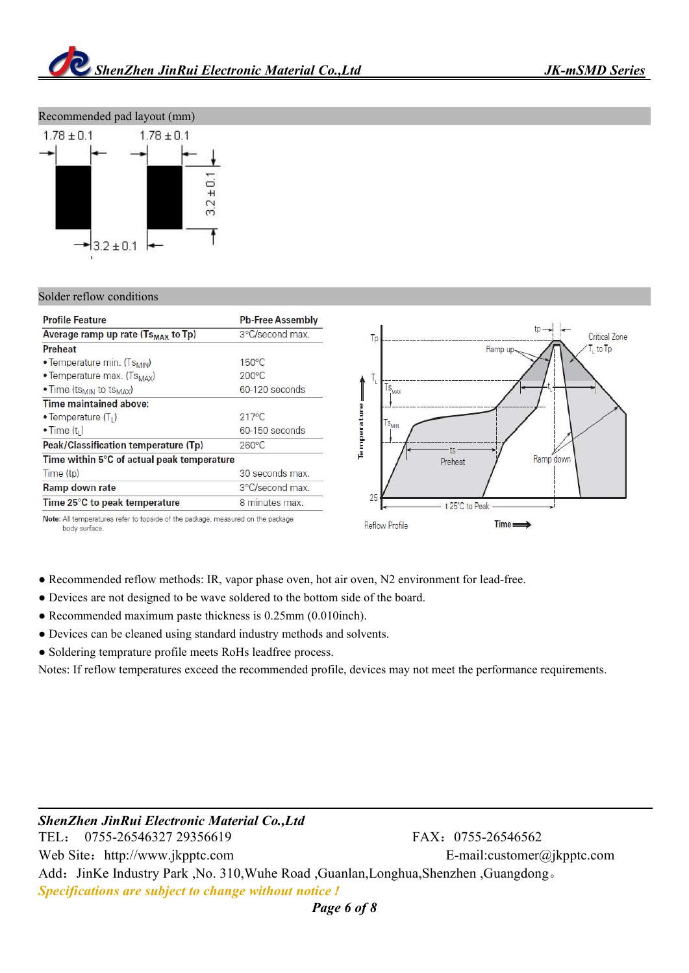

#### Recommended pad layout (mm)



#### Solder reflow conditions

| <b>Profile Feature</b>                                   | <b>Pb-Free Assembly</b> |
|----------------------------------------------------------|-------------------------|
| Average ramp up rate (Ts <sub>MAX</sub> to Tp)           | 3°C/second max.         |
| <b>Preheat</b>                                           |                         |
| • Temperature min. (TSMIN)                               | $150^{\circ}$ C         |
| • Temperature max. (Ts <sub>MAX</sub> )                  | $200^{\circ}$ C         |
| $\bullet$ Time (ts <sub>MIN</sub> to ts <sub>MAX</sub> ) | 60-120 seconds          |
| Time maintained above:                                   |                         |
| • Temperature $(T_1)$                                    | $217^{\circ}$ C         |
| $\bullet$ Time $(t_1)$                                   | 60-150 seconds          |
| Peak/Classification temperature (Tp)                     | $260^{\circ}$ C         |
| Time within 5°C of actual peak temperature               |                         |
| Time (tp)                                                | 30 seconds max          |
| Ramp down rate                                           | 3°C/second max.         |
| Time 25°C to peak temperature                            | 8 minutes max.          |
|                                                          |                         |



Note: All temperatures refer to topside of the package, measured on the package body surface.

- Recommended reflow methods: IR, vapor phase oven, hot air oven, N2 environment for lead-free.
- Devices are not designed to be wave soldered to the bottom side of the board.
- Recommended maximum paste thickness is 0.25mm (0.010inch).
- Devices can be cleaned using standard industry methods and solvents.
- Soldering temprature profile meets RoHs leadfree process.

Notes: If reflow temperatures exceed the recommended profile, devices may not meet the performance requirements.

*ShenZhen JinRui Electronic Material Co.,Ltd* TEL: 0755-26546327 29356619 FAX: 0755-26546562 Web Site: http://www.jkpptc.com E-mail:customer@jkpptc.com Add: JinKe Industry Park ,No. 310,Wuhe Road ,Guanlan,Longhua,Shenzhen ,Guangdong. *Specifications are subject to change without notice*!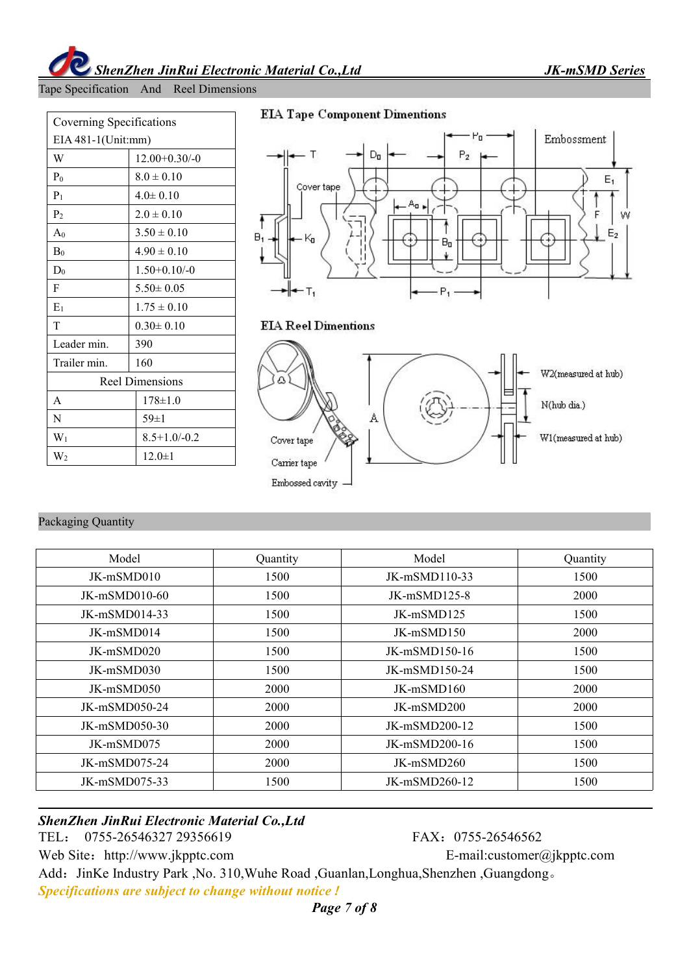Tape Specification And Reel Dimensions

|                    | Coverning Specifications |                 |  |  |  |  |  |
|--------------------|--------------------------|-----------------|--|--|--|--|--|
| EIA 481-1(Unit:mm) |                          |                 |  |  |  |  |  |
| W                  | $12.00+0.30/-0$          |                 |  |  |  |  |  |
| P <sub>0</sub>     | $8.0 \pm 0.10$           |                 |  |  |  |  |  |
| $P_1$              | $4.0 \pm 0.10$           | C٥              |  |  |  |  |  |
| P <sub>2</sub>     | $2.0 \pm 0.10$           |                 |  |  |  |  |  |
| A <sub>0</sub>     | $3.50 \pm 0.10$          | B<br>k          |  |  |  |  |  |
| $B_0$              | $4.90 \pm 0.10$          |                 |  |  |  |  |  |
| $D_0$              | $1.50 + 0.10/-0$         |                 |  |  |  |  |  |
| F                  | $5.50 \pm 0.05$          |                 |  |  |  |  |  |
| $E_1$              | $1.75 \pm 0.10$          |                 |  |  |  |  |  |
| T                  | $0.30 \pm 0.10$          | <b>EIA</b> Reel |  |  |  |  |  |
| Leader min.        | 390                      |                 |  |  |  |  |  |
| Trailer min.       | 160                      |                 |  |  |  |  |  |
|                    | <b>Reel Dimensions</b>   |                 |  |  |  |  |  |
| A                  | $178 \pm 1.0$            |                 |  |  |  |  |  |
| N                  | $59 \pm 1$               |                 |  |  |  |  |  |
| $W_1$              | $8.5 + 1.0 - 0.2$        | Cover tap       |  |  |  |  |  |
| $W_2$              | $12.0 \pm 1$             | Carrier ton     |  |  |  |  |  |



#### **EIA Reel Dimentions**



#### Packaging Quantity

| Model         | Quantity | Model           | Quantity |
|---------------|----------|-----------------|----------|
| $JK-mSMD010$  | 1500     | $JK-mSMD110-33$ | 1500     |
| JK-mSMD010-60 | 1500     | $JK-mSMD125-8$  | 2000     |
| JK-mSMD014-33 | 1500     | JK-mSMD125      | 1500     |
| JK-mSMD014    | 1500     | $JK-mSMD150$    | 2000     |
| JK-mSMD020    | 1500     | JK-mSMD150-16   | 1500     |
| JK-mSMD030    | 1500     | JK-mSMD150-24   | 1500     |
| JK-mSMD050    | 2000     | JK-mSMD160      | 2000     |
| JK-mSMD050-24 | 2000     | $JK-mSMD200$    | 2000     |
| JK-mSMD050-30 | 2000     | JK-mSMD200-12   | 1500     |
| JK-mSMD075    | 2000     | JK-mSMD200-16   | 1500     |
| JK-mSMD075-24 | 2000     | JK-mSMD260      | 1500     |
| JK-mSMD075-33 | 1500     | $JK-mSMD260-12$ | 1500     |

### *ShenZhen JinRui Electronic Material Co.,Ltd*

TEL: 0755-26546327 29356619 FAX: 0755-26546562

Web Site: http://www.jkpptc.com E-mail:customer@jkpptc.com

Add: JinKe Industry Park ,No. 310,Wuhe Road ,Guanlan,Longhua,Shenzhen ,Guangdong。 *Specifications are subject to change without notice!*